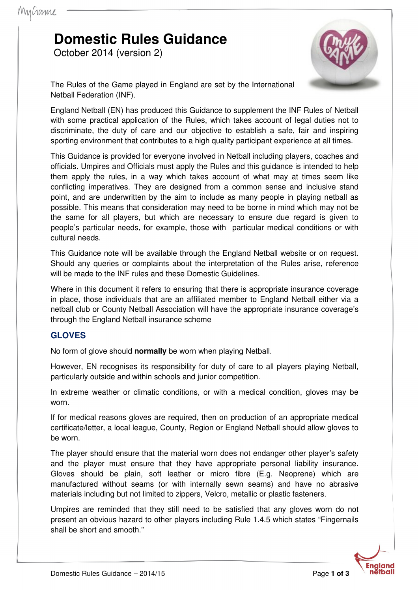# **Domestic Rules Guidance**

October 2014 (version 2)



The Rules of the Game played in England are set by the International Netball Federation (INF).

England Netball (EN) has produced this Guidance to supplement the INF Rules of Netball with some practical application of the Rules, which takes account of legal duties not to discriminate, the duty of care and our objective to establish a safe, fair and inspiring sporting environment that contributes to a high quality participant experience at all times.

This Guidance is provided for everyone involved in Netball including players, coaches and officials. Umpires and Officials must apply the Rules and this guidance is intended to help them apply the rules, in a way which takes account of what may at times seem like conflicting imperatives. They are designed from a common sense and inclusive stand point, and are underwritten by the aim to include as many people in playing netball as possible. This means that consideration may need to be borne in mind which may not be the same for all players, but which are necessary to ensure due regard is given to people's particular needs, for example, those with particular medical conditions or with cultural needs.

This Guidance note will be available through the England Netball website or on request. Should any queries or complaints about the interpretation of the Rules arise, reference will be made to the INF rules and these Domestic Guidelines.

Where in this document it refers to ensuring that there is appropriate insurance coverage in place, those individuals that are an affiliated member to England Netball either via a netball club or County Netball Association will have the appropriate insurance coverage's through the England Netball insurance scheme

#### **GLOVES**

No form of glove should **normally** be worn when playing Netball.

However, EN recognises its responsibility for duty of care to all players playing Netball, particularly outside and within schools and junior competition.

In extreme weather or climatic conditions, or with a medical condition, gloves may be worn.

If for medical reasons gloves are required, then on production of an appropriate medical certificate/letter, a local league, County, Region or England Netball should allow gloves to be worn.

The player should ensure that the material worn does not endanger other player's safety and the player must ensure that they have appropriate personal liability insurance. Gloves should be plain, soft leather or micro fibre (E.g. Neoprene) which are manufactured without seams (or with internally sewn seams) and have no abrasive materials including but not limited to zippers, Velcro, metallic or plastic fasteners.

Umpires are reminded that they still need to be satisfied that any gloves worn do not present an obvious hazard to other players including Rule 1.4.5 which states "Fingernails shall be short and smooth."

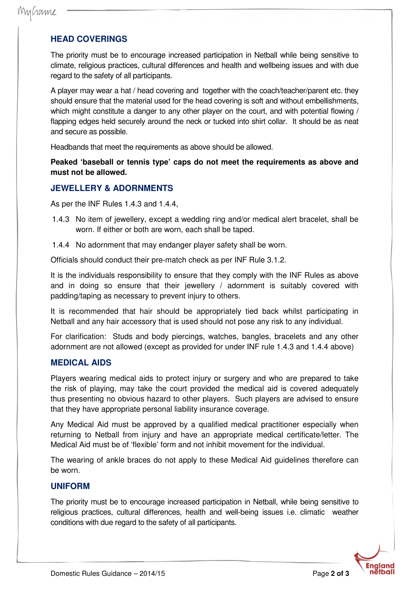## **HEAD COVERINGS**

The priority must be to encourage increased participation in Netball while being sensitive to climate, religious practices, cultural differences and health and wellbeing issues and with due regard to the safety of all participants.

A player may wear a hat / head covering and together with the coach/teacher/parent etc. they should ensure that the material used for the head covering is soft and without embellishments, which might constitute a danger to any other player on the court, and with potential flowing / flapping edges held securely around the neck or tucked into shirt collar. It should be as neat and secure as possible.

Headbands that meet the requirements as above should be allowed.

**Peaked 'baseball or tennis type' caps do not meet the requirements as above and must not be allowed.**

## **JEWELLERY & ADORNMENTS**

As per the INF Rules 1.4.3 and 1.4.4,

- 1.4.3 No item of jewellery, except a wedding ring and/or medical alert bracelet, shall be worn. If either or both are worn, each shall be taped.
- 1.4.4 No adornment that may endanger player safety shall be worn.

Officials should conduct their pre-match check as per INF Rule 3.1.2.

It is the individuals responsibility to ensure that they comply with the INF Rules as above and in doing so ensure that their jewellery / adornment is suitably covered with padding/taping as necessary to prevent injury to others.

It is recommended that hair should be appropriately tied back whilst participating in Netball and any hair accessory that is used should not pose any risk to any individual.

For clarification: Studs and body piercings, watches, bangles, bracelets and any other adornment are not allowed (except as provided for under INF rule 1.4.3 and 1.4.4 above)

### **MEDICAL AIDS**

Players wearing medical aids to protect injury or surgery and who are prepared to take the risk of playing, may take the court provided the medical aid is covered adequately thus presenting no obvious hazard to other players. Such players are advised to ensure that they have appropriate personal liability insurance coverage.

Any Medical Aid must be approved by a qualified medical practitioner especially when returning to Netball from injury and have an appropriate medical certificate/letter. The Medical Aid must be of 'flexible' form and not inhibit movement for the individual.

The wearing of ankle braces do not apply to these Medical Aid guidelines therefore can be worn.

#### **UNIFORM**

The priority must be to encourage increased participation in Netball, while being sensitive to religious practices, cultural differences, health and well-being issues i.e. climatic weather conditions with due regard to the safety of all participants.